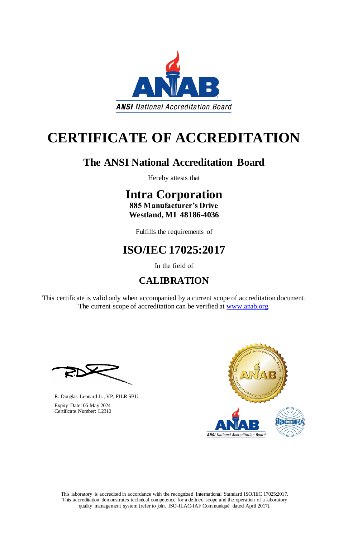This laboratory is accredited in accordance with the recognized International Standard ISO/IEC 17025:2017. This accreditation demonstrates technical competence for a defined scope and the operation of a laboratory quality management system (refer to joint ISO-ILAC-IAF Communiqué dated April 2017).

This certificate is valid only when accompanied by a current scope of accreditation document. The current scope of accreditation can be verified at [www.anab.org.](http://www.anab.org/)



# **CERTIFICATE OF ACCREDITATION**

## **The ANSI National Accreditation Board**

Hereby attests that

## **Intra Corporation**

**885 Manufacturer's Drive Westland, MI 48186-4036**

Fulfills the requirements of

## **ISO/IEC 17025:2017**

In the field of

### **CALIBRATION**





R. Douglas Leonard Jr., VP, PILR SBU

 Expiry Date: 06 May 2024 Certificate Number: L2310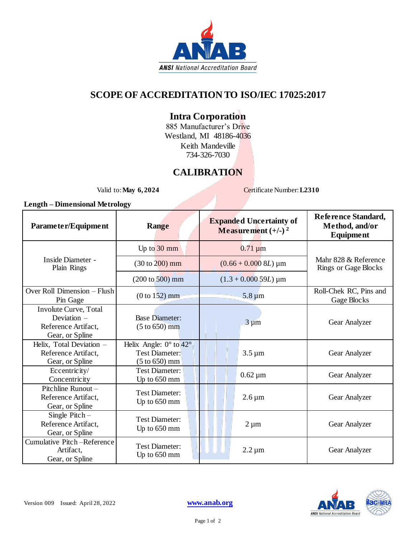

#### **SCOPE OF ACCREDITATION TO ISO/IEC 17025:2017**

#### **Intra Corporation**

885 Manufacturer's Drive Westland, MI 48186-4036 Keith Mandeville 734-326-7030

#### **CALIBRATION**

Valid to: **May 6, 2024** Certificate Number: **L2310** 

#### **Length – Dimensional Metrology**

| Parameter/Equipment                                                              | <b>Range</b>                                                                                          | <b>Expanded Uncertainty of</b><br>Measurement $(+/-)^2$ | Reference Standard,<br>Method, and/or<br>Equipment  |
|----------------------------------------------------------------------------------|-------------------------------------------------------------------------------------------------------|---------------------------------------------------------|-----------------------------------------------------|
| Inside Diameter -<br>Plain Rings                                                 | Up to $30 \text{ mm}$                                                                                 | $0.71 \mu m$                                            | Mahr 828 & Reference<br><b>Rings or Gage Blocks</b> |
|                                                                                  | $(30 to 200)$ mm                                                                                      | $(0.66 + 0.000 \text{ } 8L) \mu \text{m}$               |                                                     |
|                                                                                  | $(200 \text{ to } 500) \text{ mm}$                                                                    | $(1.3 + 0.00059L) \,\mathrm{\upmu m}$                   |                                                     |
| Over Roll Dimension - Flush<br>Pin Gage                                          | $(0 to 152)$ mm                                                                                       | $5.8 \,\mathrm{\upmu m}$                                | Roll-Chek RC, Pins and<br>Gage Blocks               |
| Involute Curve, Total<br>Deviation $-$<br>Reference Artifact,<br>Gear, or Spline | <b>Base Diameter:</b><br>$(5 to 650)$ mm                                                              | $3 \mu m$                                               | Gear Analyzer                                       |
| Helix, Total Deviation -<br>Reference Artifact,<br>Gear, or Spline               | Helix Angle: $0^{\circ}$ to $42^{\circ}$<br><b>Test Diameter:</b><br>$(5 \text{ to } 650) \text{ mm}$ | $3.5 \mu m$                                             | Gear Analyzer                                       |
| Eccentricity/<br>Concentricity                                                   | <b>Test Diameter:</b><br>Up to $650$ mm                                                               | $0.62 \,\mathrm{\upmu m}$                               | Gear Analyzer                                       |
| Pitchline Runout-<br>Reference Artifact,<br>Gear, or Spline                      | <b>Test Diameter:</b><br>Up to 650 mm                                                                 | $2.6 \,\mathrm{\upmu m}$                                | Gear Analyzer                                       |
| Single Pitch $-$<br>Reference Artifact,<br>Gear, or Spline                       | <b>Test Diameter:</b><br>Up to 650 mm                                                                 | $2 \mu m$                                               | Gear Analyzer                                       |
| Cumulative Pitch-Reference<br>Artifact,<br>Gear, or Spline                       | <b>Test Diameter:</b><br>Up to 650 mm                                                                 | $2.2 \,\mathrm{\mu m}$                                  | Gear Analyzer                                       |